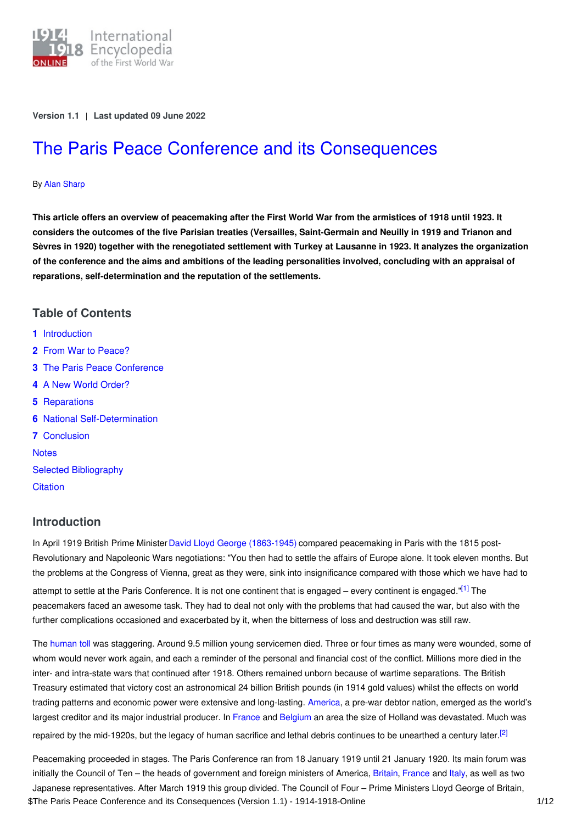

**Version 1.1** | **Last updated 09 June 2022**

# The Paris Peace Conference and its [Consequences](https://encyclopedia.1914-1918-online.net/article/the_paris_peace_conference_and_its_consequences)

#### By Alan [Sharp](https://encyclopedia.1914-1918-online.net/contributors/Alan_Sharp)

This article offers an overview of peacemaking after the First World War from the armistices of 1918 until 1923. It considers the outcomes of the five Parisian treaties (Versailles, Saint-Germain and Neuilly in 1919 and Trianon and Sèvres in 1920) together with the renegotiated settlement with Turkey at Lausanne in 1923. It analyzes the organization of the conference and the aims and ambitions of the leading personalities involved, concluding with an appraisal of **reparations, self-determination and the reputation of the settlements.**

## **Table of Contents**

- **1** [Introduction](#page-0-0)
- **2** From War to [Peace?](#page-1-0)
- **3** The Paris Peace [Conference](#page-2-0)
- **4** A New World [Order?](#page-5-0)
- **5** [Reparations](#page-7-0)
- **6** National [Self-Determination](#page-8-0)
- **7** [Conclusion](#page-8-1)

**[Notes](#page-9-0)** Selected [Bibliography](#page-11-0)

**[Citation](#page-11-1)** 

#### <span id="page-0-0"></span>**Introduction**

In April 1919 British Prime Minister David Lloyd George [\(1863-1945\)](http://ui:CeDiS1418@encyclopedia.1914-1918-online.net/index/names/118573675) compared peacemaking in Paris with the 1815 post-Revolutionary and Napoleonic Wars negotiations: "You then had to settle the affairs of Europe alone. It took eleven months. But the problems at the Congress of Vienna, great as they were, sink into insignificance compared with those which we have had to

<span id="page-0-1"></span>attempt to settle at the Paris Conference. It is not one continent that is engaged – every continent is engaged."<sup>[\[1\]](#page-9-1)</sup> The peacemakers faced an awesome task. They had to deal not only with the problems that had caused the war, but also with the further complications occasioned and exacerbated by it, when the bitterness of loss and destruction was still raw.

The [human](http://ui:CeDiS1418@encyclopedia.1914-1918-online.net/article/war_losses) toll was staggering. Around 9.5 million young servicemen died. Three or four times as many were wounded, some of whom would never work again, and each a reminder of the personal and financial cost of the conflict. Millions more died in the inter- and intra-state wars that continued after 1918. Others remained unborn because of wartime separations. The British Treasury estimated that victory cost an astronomical 24 billion British pounds (in 1914 gold values) whilst the effects on world trading patterns and economic power were extensive and long-lasting. [America](http://ui:CeDiS1418@encyclopedia.1914-1918-online.net/article/united_states_of_america), a pre-war debtor nation, emerged as the world's largest creditor and its major industrial producer. In [France](http://ui:CeDiS1418@encyclopedia.1914-1918-online.net/article/france) and [Belgium](http://ui:CeDiS1418@encyclopedia.1914-1918-online.net/article/belgium) an area the size of Holland was devastated. Much was repaired by the mid-1920s, but the legacy of human sacrifice and lethal debris continues to be unearthed a century later.<sup>[\[2\]](#page-9-2)</sup>

<span id="page-0-2"></span>Peacemaking proceeded in stages. The Paris Conference ran from 18 January 1919 until 21 January 1920. Its main forum was initially the Council of Ten – the heads of government and foreign ministers of America, [Britain](http://ui:CeDiS1418@encyclopedia.1914-1918-online.net/article/governments_parliaments_and_parties_great_britain_and_ireland), [France](http://ui:CeDiS1418@encyclopedia.1914-1918-online.net/article/governments_parliaments_and_parties_france) and [Italy](http://ui:CeDiS1418@encyclopedia.1914-1918-online.net/article/governments_parliaments_and_parties_italy), as well as two Japanese representatives. After March 1919 this group divided. The Council of Four – Prime Ministers Lloyd George of Britain, \$The Paris Peace Conference and its Consequences (Version 1.1) - 1914-1918-Online 101 102 102 1/12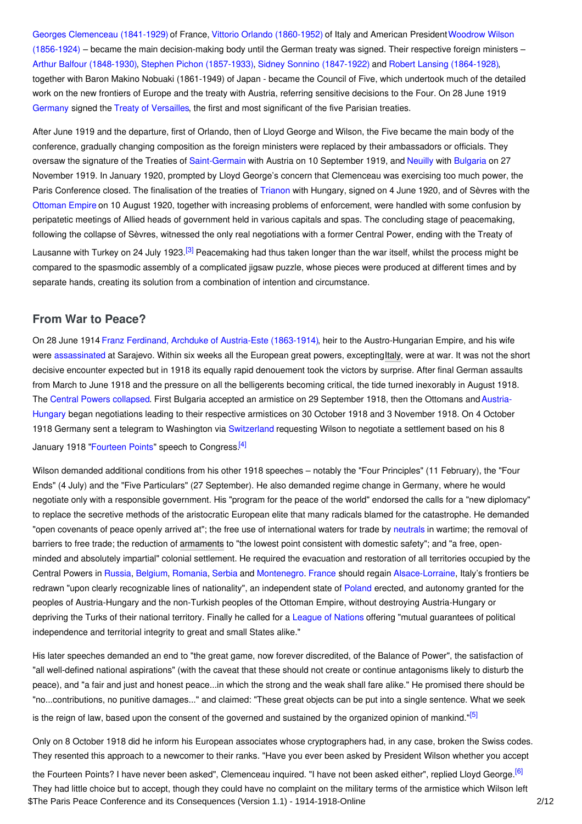Georges [Clemenceau](http://ui:CeDiS1418@encyclopedia.1914-1918-online.net/index/names/118676407) (1841-1929) of France, Vittorio Orlando [\(1860-1952\)](http://ui:CeDiS1418@encyclopedia.1914-1918-online.net/index/names/117146099) of Italy and American [PresidentWoodrow](http://ui:CeDiS1418@encyclopedia.1914-1918-online.net/index/names/118643401) Wilson  $(1856-1924)$  – became the main decision-making body until the German treaty was signed. Their respective foreign ministers – Arthur Balfour [\(1848-1930\)](http://ui:CeDiS1418@encyclopedia.1914-1918-online.net/index/names/119456605), Stephen Pichon [\(1857-1933\)](http://ui:CeDiS1418@encyclopedia.1914-1918-online.net/index/names/1050544501), Sidney Sonnino [\(1847-1922\)](http://ui:CeDiS1418@encyclopedia.1914-1918-online.net/index/names/117508470) and Robert Lansing [\(1864-1928\)](http://ui:CeDiS1418@encyclopedia.1914-1918-online.net/index/names/118778757), together with Baron Makino Nobuaki (1861-1949) of Japan - became the Council of Five, which undertook much of the detailed work on the new frontiers of Europe and the treaty with Austria, referring sensitive decisions to the Four. On 28 June 1919 [Germany](http://ui:CeDiS1418@encyclopedia.1914-1918-online.net/article/germany) signed the Treaty of [Versailles](http://ui:CeDiS1418@encyclopedia.1914-1918-online.net/article/versailles_treaty_of), the first and most significant of the five Parisian treaties.

After June 1919 and the departure, first of Orlando, then of Lloyd George and Wilson, the Five became the main body of the conference, gradually changing composition as the foreign ministers were replaced by their ambassadors or officials. They oversaw the signature of the Treaties of [Saint-Germain](http://ui:CeDiS1418@encyclopedia.1914-1918-online.net/article/saint-germain_treaty_of) with Austria on 10 September 1919, and [Neuilly](http://ui:CeDiS1418@encyclopedia.1914-1918-online.net/article/neuilly-sur-seine_treaty_of) with [Bulgaria](http://ui:CeDiS1418@encyclopedia.1914-1918-online.net/article/bulgaria) on 27 November 1919. In January 1920, prompted by Lloyd George's concern that Clemenceau was exercising too much power, the Paris Conference closed. The finalisation of the treaties of [Trianon](http://ui:CeDiS1418@encyclopedia.1914-1918-online.net/article/trianon_treaty_of) with Hungary, signed on 4 June 1920, and of Sèvres with the [Ottoman](http://ui:CeDiS1418@encyclopedia.1914-1918-online.net/article/ottoman_empiremiddle_east) Empire on 10 August 1920, together with increasing problems of enforcement, were handled with some confusion by peripatetic meetings of Allied heads of government held in various capitals and spas. The concluding stage of peacemaking, following the collapse of Sèvres, witnessed the only real negotiations with a former Central Power, ending with the Treaty of

<span id="page-1-1"></span>Lausanne with Turkey on 24 July 1923.<sup>[\[3\]](#page-9-3)</sup> Peacemaking had thus taken longer than the war itself, whilst the process might be compared to the spasmodic assembly of a complicated jigsaw puzzle, whose pieces were produced at different times and by separate hands, creating its solution from a combination of intention and circumstance.

## <span id="page-1-0"></span>**From War to Peace?**

On 28 June 1914 Franz Ferdinand, Archduke of [Austria-Este](http://ui:CeDiS1418@encyclopedia.1914-1918-online.net/index/names/118535005) (1863-1914), heir to the Austro-Hungarian Empire, and his wife were [assassinated](http://ui:CeDiS1418@encyclopedia.1914-1918-online.net/article/sarajevo_incident) at Sarajevo. Within six weeks all the European great powers, excepting[Italy](http://ui:CeDiS1418@encyclopedia.1914-1918-online.net/article/italy), were at war. It was not the short decisive encounter expected but in 1918 its equally rapid denouement took the victors by surprise. After final German assaults from March to June 1918 and the pressure on all the belligerents becoming critical, the tide turned inexorably in August 1918. The Central Powers [collapsed](http://ui:CeDiS1418@encyclopedia.1914-1918-online.net/article/crumbling_of_empires_and_emerging_states_czechoslovakia_and_yugoslavia_as_multinational_countries). First Bulgaria accepted an armistice on 29 September 1918, then the Ottomans and Austria-Hungary began negotiations leading to their respective armistices on 30 October 1918 and 3 November 1918. On 4 October 1918 Germany sent a telegram to Washington via [Switzerland](http://ui:CeDiS1418@encyclopedia.1914-1918-online.net/article/switzerland) requesting Wilson to negotiate a settlement based on his 8 January 1918 ["Fourteen](http://ui:CeDiS1418@encyclopedia.1914-1918-online.net/article/fourteen_points) Points" speech to Congress.<sup>[\[4\]](#page-9-4)</sup>

<span id="page-1-2"></span>Wilson demanded additional conditions from his other 1918 speeches – notably the "Four Principles" (11 February), the "Four Ends" (4 July) and the "Five Particulars" (27 September). He also demanded regime change in Germany, where he would negotiate only with a responsible government. His "program for the peace of the world" endorsed the calls for a "new diplomacy" to replace the secretive methods of the aristocratic European elite that many radicals blamed for the catastrophe. He demanded "open covenants of peace openly arrived at"; the free use of international waters for trade by [neutrals](http://ui:CeDiS1418@encyclopedia.1914-1918-online.net/article/neutrality) in wartime; the removal of barriers to free trade; the reduction of [armaments](http://ui:CeDiS1418@encyclopedia.1914-1918-online.net/article/armaments_production) to "the lowest point consistent with domestic safety"; and "a free, openminded and absolutely impartial" colonial settlement. He required the evacuation and restoration of all territories occupied by the Central Powers in [Russia](http://ui:CeDiS1418@encyclopedia.1914-1918-online.net/article/russian_empire), [Belgium](http://ui:CeDiS1418@encyclopedia.1914-1918-online.net/article/belgium), [Romania](http://ui:CeDiS1418@encyclopedia.1914-1918-online.net/article/romania), [Serbia](http://ui:CeDiS1418@encyclopedia.1914-1918-online.net/article/serbia) and [Montenegro](http://ui:CeDiS1418@encyclopedia.1914-1918-online.net/article/montenegro). [France](http://ui:CeDiS1418@encyclopedia.1914-1918-online.net/article/france) should regain [Alsace-Lorraine](http://ui:CeDiS1418@encyclopedia.1914-1918-online.net/article/alsace-lorraine), Italy's frontiers be redrawn "upon clearly recognizable lines of nationality", an independent state of [Poland](http://ui:CeDiS1418@encyclopedia.1914-1918-online.net/article/poland) erected, and autonomy granted for the peoples of Austria-Hungary and the non-Turkish peoples of the Ottoman Empire, without destroying Austria-Hungary or depriving the Turks of their national territory. Finally he called for a [League](http://ui:CeDiS1418@encyclopedia.1914-1918-online.net/article/league_of_nations) of Nations offering "mutual guarantees of political independence and territorial integrity to great and small States alike."

His later speeches demanded an end to "the great game, now forever discredited, of the Balance of Power", the satisfaction of "all well-defined national aspirations" (with the caveat that these should not create or continue antagonisms likely to disturb the peace), and "a fair and just and honest peace...in which the strong and the weak shall fare alike." He promised there should be "no...contributions, no punitive damages..." and claimed: "These great objects can be put into a single sentence. What we seek is the reign of law, based upon the consent of the governed and sustained by the organized opinion of mankind."<sup>[\[5\]](#page-9-5)</sup>

<span id="page-1-4"></span><span id="page-1-3"></span>Only on 8 October 1918 did he inform his European associates whose cryptographers had, in any case, broken the Swiss codes. They resented this approach to a newcomer to their ranks. "Have you ever been asked by President Wilson whether you accept

the Fourteen Points? I have never been asked", Clemenceau inquired. "I have not been asked either", replied Lloyd George.<sup>[\[6\]](#page-9-6)</sup> They had little choice but to accept, though they could have no complaint on the military terms of the armistice which Wilson left \$The Paris Peace Conference and its Consequences (Version 1.1) - 1914-1918-Online 2/12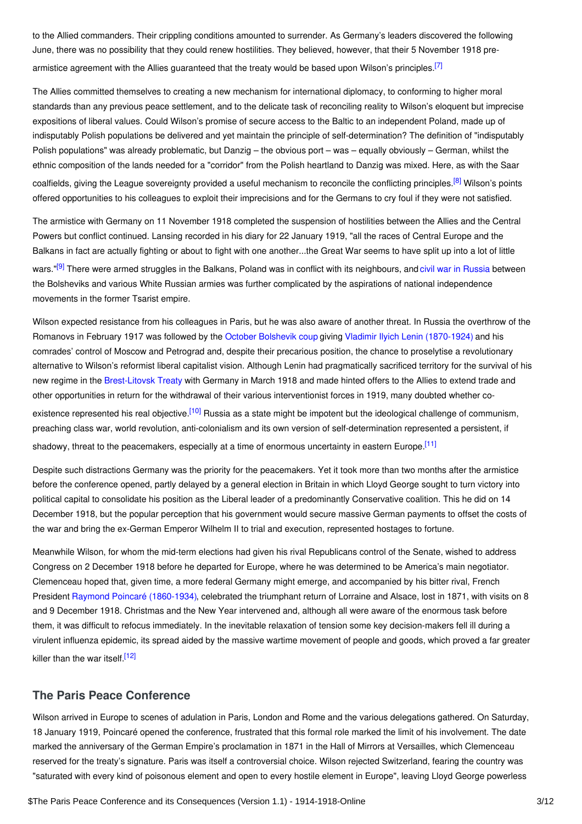to the Allied commanders. Their crippling conditions amounted to surrender. As Germany's leaders discovered the following June, there was no possibility that they could renew hostilities. They believed, however, that their 5 November 1918 pre-armistice agreement with the Allies guaranteed that the treaty would be based upon Wilson's principles.<sup>[\[7\]](#page-9-7)</sup>

<span id="page-2-1"></span>The Allies committed themselves to creating a new mechanism for international diplomacy, to conforming to higher moral standards than any previous peace settlement, and to the delicate task of reconciling reality to Wilson's eloquent but imprecise expositions of liberal values. Could Wilson's promise of secure access to the Baltic to an independent Poland, made up of indisputably Polish populations be delivered and yet maintain the principle of self-determination? The definition of "indisputably Polish populations" was already problematic, but Danzig – the obvious port – was – equally obviously – German, whilst the ethnic composition of the lands needed for a "corridor" from the Polish heartland to Danzig was mixed. Here, as with the Saar coalfields, giving the League sovereignty provided a useful mechanism to reconcile the conflicting principles.<sup>[\[8\]](#page-9-8)</sup> Wilson's points offered opportunities to his colleagues to exploit their imprecisions and for the Germans to cry foul if they were not satisfied.

<span id="page-2-3"></span><span id="page-2-2"></span>The armistice with Germany on 11 November 1918 completed the suspension of hostilities between the Allies and the Central Powers but conflict continued. Lansing recorded in his diary for 22 January 1919, "all the races of Central Europe and the Balkans in fact are actually fighting or about to fight with one another...the Great War seems to have split up into a lot of little wars."<sup>[\[9\]](#page-9-9)</sup> There were armed struggles in the Balkans, Poland was in conflict with its neighbours, and civil war in [Russia](http://ui:CeDiS1418@encyclopedia.1914-1918-online.net/article/international_responses_to_the_russian_civil_war_russian_empire) between the Bolsheviks and various White Russian armies was further complicated by the aspirations of national independence movements in the former Tsarist empire.

Wilson expected resistance from his colleagues in Paris, but he was also aware of another threat. In Russia the overthrow of the Romanovs in February 1917 was followed by the October [Bolshevik](http://ui:CeDiS1418@encyclopedia.1914-1918-online.net/article/revolutions_russian_empire) coup giving Vladimir Ilyich Lenin [\(1870-1924\)](http://ui:CeDiS1418@encyclopedia.1914-1918-online.net/index/names/118640402) and his comrades' control of Moscow and Petrograd and, despite their precarious position, the chance to proselytise a revolutionary alternative to Wilson's reformist liberal capitalist vision. Although Lenin had pragmatically sacrificed territory for the survival of his new regime in the [Brest-Litovsk](http://ui:CeDiS1418@encyclopedia.1914-1918-online.net/article/brest-litovsk_treaty_of) Treaty with Germany in March 1918 and made hinted offers to the Allies to extend trade and other opportunities in return for the withdrawal of their various interventionist forces in 1919, many doubted whether co-existence represented his real objective.<sup>[\[10\]](#page-9-10)</sup> Russia as a state might be impotent but the ideological challenge of communism, preaching class war, world revolution, anti-colonialism and its own version of self-determination represented a persistent, if

<span id="page-2-5"></span><span id="page-2-4"></span>shadowy, threat to the peacemakers, especially at a time of enormous uncertainty in eastern Europe.<sup>[\[11\]](#page-9-11)</sup>

Despite such distractions Germany was the priority for the peacemakers. Yet it took more than two months after the armistice before the conference opened, partly delayed by a general election in Britain in which Lloyd George sought to turn victory into political capital to consolidate his position as the Liberal leader of a predominantly Conservative coalition. This he did on 14 December 1918, but the popular perception that his government would secure massive German payments to offset the costs of the war and bring the ex-German Emperor Wilhelm II to trial and execution, represented hostages to fortune.

Meanwhile Wilson, for whom the mid-term elections had given his rival Republicans control of the Senate, wished to address Congress on 2 December 1918 before he departed for Europe, where he was determined to be America's main negotiator. Clemenceau hoped that, given time, a more federal Germany might emerge, and accompanied by his bitter rival, French President Raymond Poincaré [\(1860-1934\)](http://ui:CeDiS1418@encyclopedia.1914-1918-online.net/index/names/118792652), celebrated the triumphant return of Lorraine and Alsace, lost in 1871, with visits on 8 and 9 December 1918. Christmas and the New Year intervened and, although all were aware of the enormous task before them, it was difficult to refocus immediately. In the inevitable relaxation of tension some key decision-makers fell ill during a virulent influenza epidemic, its spread aided by the massive wartime movement of people and goods, which proved a far greater killer than the war itself.<sup>[\[12\]](#page-9-12)</sup>

## <span id="page-2-6"></span><span id="page-2-0"></span>**The Paris Peace Conference**

Wilson arrived in Europe to scenes of adulation in Paris, London and Rome and the various delegations gathered. On Saturday, 18 January 1919, Poincaré opened the conference, frustrated that this formal role marked the limit of his involvement. The date marked the anniversary of the German Empire's proclamation in 1871 in the Hall of Mirrors at Versailles, which Clemenceau reserved for the treaty's signature. Paris was itself a controversial choice. Wilson rejected Switzerland, fearing the country was "saturated with every kind of poisonous element and open to every hostile element in Europe", leaving Lloyd George powerless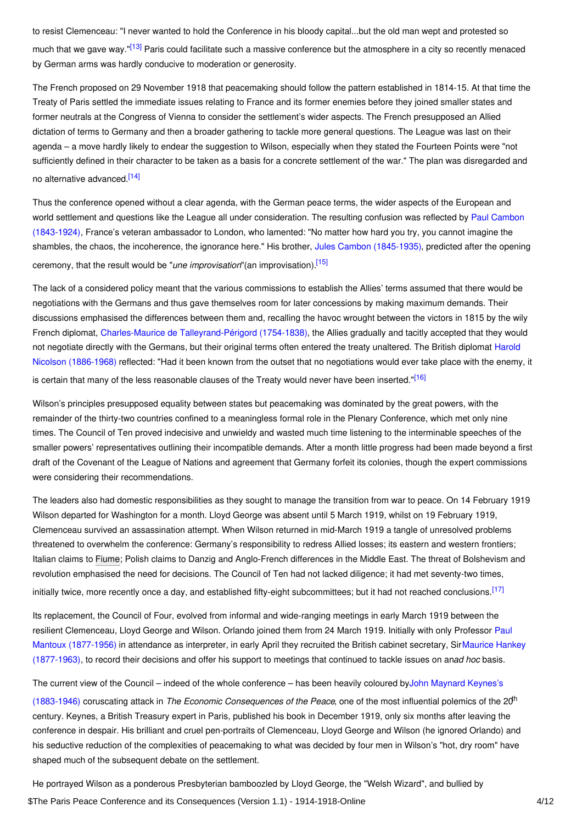<span id="page-3-0"></span>to resist Clemenceau: "I never wanted to hold the Conference in his bloody capital...but the old man wept and protested so much that we gave way."<sup>[\[13\]](#page-9-13)</sup> Paris could facilitate such a massive conference but the atmosphere in a city so recently menaced by German arms was hardly conducive to moderation or generosity.

The French proposed on 29 November 1918 that peacemaking should follow the pattern established in 1814-15. At that time the Treaty of Paris settled the immediate issues relating to France and its former enemies before they joined smaller states and former neutrals at the Congress of Vienna to consider the settlement's wider aspects. The French presupposed an Allied dictation of terms to Germany and then a broader gathering to tackle more general questions. The League was last on their agenda – a move hardly likely to endear the suggestion to Wilson, especially when they stated the Fourteen Points were "not sufficiently defined in their character to be taken as a basis for a concrete settlement of the war." The plan was disregarded and no alternative advanced.<sup>[\[14\]](#page-9-14)</sup>

<span id="page-3-1"></span>Thus the conference opened without a clear agenda, with the German peace terms, the wider aspects of the European and world settlement and questions like the League all under [consideration.](http://ui:CeDiS1418@encyclopedia.1914-1918-online.net/index/names/118666738) The resulting confusion was reflected by Paul Cambon (1843-1924), France's veteran ambassador to London, who lamented: "No matter how hard you try, you cannot imagine the shambles, the chaos, the incoherence, the ignorance here." His brother, Jules Cambon [\(1845-1935\)](http://ui:CeDiS1418@encyclopedia.1914-1918-online.net/index/names/117669229), predicted after the opening ceremony, that the result would be "*une improvisation*"(an improvisation). [\[15\]](#page-9-15)

<span id="page-3-2"></span>The lack of a considered policy meant that the various commissions to establish the Allies' terms assumed that there would be negotiations with the Germans and thus gave themselves room for later concessions by making maximum demands. Their discussions emphasised the differences between them and, recalling the havoc wrought between the victors in 1815 by the wily French diplomat, Charles-Maurice de [Talleyrand-Périgord](http://ui:CeDiS1418@encyclopedia.1914-1918-online.net/index/names/118620606) (1754-1838), the Allies gradually and tacitly accepted that they would not negotiate directly with the Germans, but their original terms often entered the treaty unaltered. The British diplomat Harold Nicolson [\(1886-1968\)](http://ui:CeDiS1418@encyclopedia.1914-1918-online.net/index/names/118587749) reflected: "Had it been known from the outset that no negotiations would ever take place with the enemy, it is certain that many of the less reasonable clauses of the Treaty would never have been inserted."<sup>[\[16\]](#page-9-16)</sup>

<span id="page-3-3"></span>Wilson's principles presupposed equality between states but peacemaking was dominated by the great powers, with the remainder of the thirty-two countries confined to a meaningless formal role in the Plenary Conference, which met only nine times. The Council of Ten proved indecisive and unwieldy and wasted much time listening to the interminable speeches of the smaller powers' representatives outlining their incompatible demands. After a month little progress had been made beyond a first draft of the Covenant of the League of Nations and agreement that Germany forfeit its colonies, though the expert commissions were considering their recommendations.

The leaders also had domestic responsibilities as they sought to manage the transition from war to peace. On 14 February 1919 Wilson departed for Washington for a month. Lloyd George was absent until 5 March 1919, whilst on 19 February 1919, Clemenceau survived an assassination attempt. When Wilson returned in mid-March 1919 a tangle of unresolved problems threatened to overwhelm the conference: Germany's responsibility to redress Allied losses; its eastern and western frontiers; Italian claims to [Fiume](http://ui:CeDiS1418@encyclopedia.1914-1918-online.net/article/fiume); Polish claims to Danzig and Anglo-French differences in the Middle East. The threat of Bolshevism and revolution emphasised the need for decisions. The Council of Ten had not lacked diligence; it had met seventy-two times, initially twice, more recently once a day, and established fifty-eight subcommittees; but it had not reached conclusions.<sup>[\[17\]](#page-9-17)</sup>

<span id="page-3-4"></span>Its replacement, the Council of Four, evolved from informal and wide-ranging meetings in early March 1919 between the resilient [Clemenceau,](http://ui:CeDiS1418@encyclopedia.1914-1918-online.net/index/names/101163959) Lloyd George and Wilson. Orlando joined them from 24 March 1919. Initially with only Professor Paul Mantoux (1877-1956) in attendance as interpreter, in early April they recruited the British cabinet secretary, SirMaurice Hankey [\(1877-1963\),](http://ui:CeDiS1418@encyclopedia.1914-1918-online.net/index/names/119098873) to record their decisions and offer his support to meetings that continued to tackle issues on an*ad hoc* basis.

The current view of the Council – indeed of the whole conference – has been heavily coloured byJohn Maynard Keynes's

(1883-1946) coruscating attack in *The Economic [Consequences](http://ui:CeDiS1418@encyclopedia.1914-1918-online.net/index/names/118561804) of the Peace*, one of the most influential polemics of the 20 th century. Keynes, a British Treasury expert in Paris, published his book in December 1919, only six months after leaving the conference in despair. His brilliant and cruel pen-portraits of Clemenceau, Lloyd George and Wilson (he ignored Orlando) and his seductive reduction of the complexities of peacemaking to what was decided by four men in Wilson's "hot, dry room" have shaped much of the subsequent debate on the settlement.

He portrayed Wilson as a ponderous Presbyterian bamboozled by Lloyd George, the "Welsh Wizard", and bullied by \$The Paris Peace Conference and its Consequences (Version 1.1) - 1914-1918-Online 4/12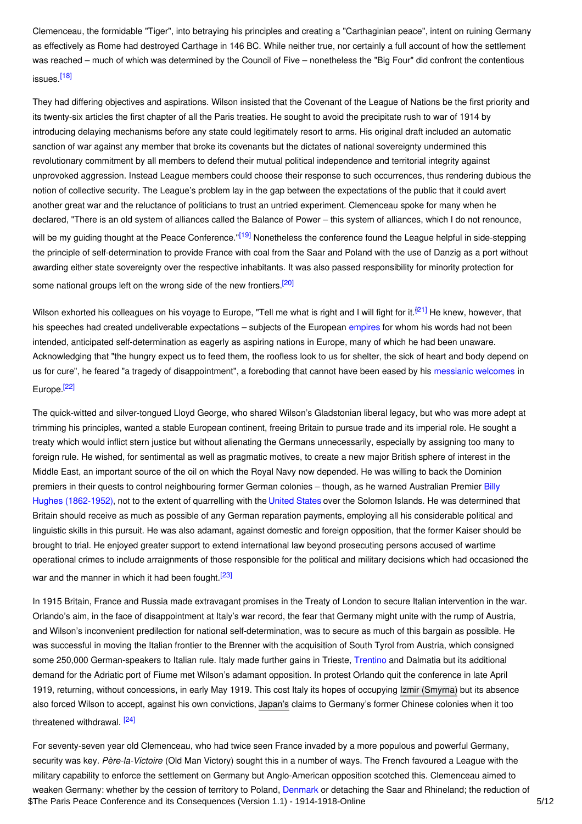Clemenceau, the formidable "Tiger", into betraying his principles and creating a "Carthaginian peace", intent on ruining Germany as effectively as Rome had destroyed Carthage in 146 BC. While neither true, nor certainly a full account of how the settlement was reached – much of which was determined by the Council of Five – nonetheless the "Big Four" did confront the contentious issues.<sup>[\[18\]](#page-9-18)</sup>

<span id="page-4-0"></span>They had differing objectives and aspirations. Wilson insisted that the Covenant of the League of Nations be the first priority and its twenty-six articles the first chapter of all the Paris treaties. He sought to avoid the precipitate rush to war of 1914 by introducing delaying mechanisms before any state could legitimately resort to arms. His original draft included an automatic sanction of war against any member that broke its covenants but the dictates of national sovereignty undermined this revolutionary commitment by all members to defend their mutual political independence and territorial integrity against unprovoked aggression. Instead League members could choose their response to such occurrences, thus rendering dubious the notion of collective security. The League's problem lay in the gap between the expectations of the public that it could avert another great war and the reluctance of politicians to trust an untried experiment. Clemenceau spoke for many when he declared, "There is an old system of alliances called the Balance of Power – this system of alliances, which I do not renounce, will be my guiding thought at the Peace Conference."<sup>[\[19\]](#page-9-19)</sup> Nonetheless the conference found the League helpful in side-stepping the principle of self-determination to provide France with coal from the Saar and Poland with the use of Danzig as a port without awarding either state sovereignty over the respective inhabitants. It was also passed responsibility for minority protection for some national groups left on the wrong side of the new frontiers.<sup>[\[20\]](#page-9-20)</sup>

<span id="page-4-3"></span><span id="page-4-2"></span><span id="page-4-1"></span>Wilson exhorted his colleagues on his voyage to Europe, "Tell me what is right and I will fight for it.<sup>[\[21\]](#page-9-21)</sup> He knew, however, that his speeches had created undeliverable expectations – subjects of the European [empires](http://ui:CeDiS1418@encyclopedia.1914-1918-online.net/article/empire) for whom his words had not been intended, anticipated self-determination as eagerly as aspiring nations in Europe, many of which he had been unaware. Acknowledging that "the hungry expect us to feed them, the roofless look to us for shelter, the sick of heart and body depend on us for cure", he feared "a tragedy of disappointment", a foreboding that cannot have been eased by his [messianic](http://ui:CeDiS1418@encyclopedia.1914-1918-online.net/article/wilsonian_moment) welcomes in Europe.<sup>[\[22\]](#page-9-22)</sup>

<span id="page-4-4"></span>The quick-witted and silver-tongued Lloyd George, who shared Wilson's Gladstonian liberal legacy, but who was more adept at trimming his principles, wanted a stable European continent, freeing Britain to pursue trade and its imperial role. He sought a treaty which would inflict stern justice but without alienating the Germans unnecessarily, especially by assigning too many to foreign rule. He wished, for sentimental as well as pragmatic motives, to create a new major British sphere of interest in the Middle East, an important source of the oil on which the Royal Navy now depended. He was willing to back the Dominion premiers in their quests to control neighbouring former German colonies – though, as he warned Australian Premier Billy Hughes [\(1862-1952\),](http://ui:CeDiS1418@encyclopedia.1914-1918-online.net/index/names/118775235) not to the extent of quarrelling with the [United](http://ui:CeDiS1418@encyclopedia.1914-1918-online.net/article/united_states_of_america) States over the Solomon Islands. He was determined that Britain should receive as much as possible of any German reparation payments, employing all his considerable political and linguistic skills in this pursuit. He was also adamant, against domestic and foreign opposition, that the former Kaiser should be brought to trial. He enjoyed greater support to extend international law beyond prosecuting persons accused of wartime operational crimes to include arraignments of those responsible for the political and military decisions which had occasioned the war and the manner in which it had been fought.<sup>[\[23\]](#page-9-23)</sup>

<span id="page-4-5"></span>In 1915 Britain, France and Russia made extravagant promises in the Treaty of London to secure Italian intervention in the war. Orlando's aim, in the face of disappointment at Italy's war record, the fear that Germany might unite with the rump of Austria, and Wilson's inconvenient predilection for national self-determination, was to secure as much of this bargain as possible. He was successful in moving the Italian frontier to the Brenner with the acquisition of South Tyrol from Austria, which consigned some 250,000 German-speakers to Italian rule. Italy made further gains in Trieste, [Trentino](http://ui:CeDiS1418@encyclopedia.1914-1918-online.net/article/trentino) and Dalmatia but its additional demand for the Adriatic port of Fiume met Wilson's adamant opposition. In protest Orlando quit the conference in late April 1919, returning, without concessions, in early May 1919. This cost Italy its hopes of occupying Izmir [\(Smyrna\)](http://ui:CeDiS1418@encyclopedia.1914-1918-online.net/article/izmirsmyrna) but its absence also forced Wilson to accept, against his own convictions, [Japan's](http://ui:CeDiS1418@encyclopedia.1914-1918-online.net/article/japan) claims to Germany's former Chinese colonies when it too threatened withdrawal.<sup>[\[24\]](#page-9-24)</sup>

<span id="page-4-6"></span>For seventy-seven year old Clemenceau, who had twice seen France invaded by a more populous and powerful Germany, security was key. *Père-la-Victoire* (Old Man Victory) sought this in a number of ways. The French favoured a League with the military capability to enforce the settlement on Germany but Anglo-American opposition scotched this. Clemenceau aimed to weaken Germany: whether by the cession of territory to Poland, [Denmark](http://ui:CeDiS1418@encyclopedia.1914-1918-online.net/article/denmark) or detaching the Saar and Rhineland; the reduction of \$The Paris Peace Conference and its Consequences (Version 1.1) - 1914-1918-Online 5/12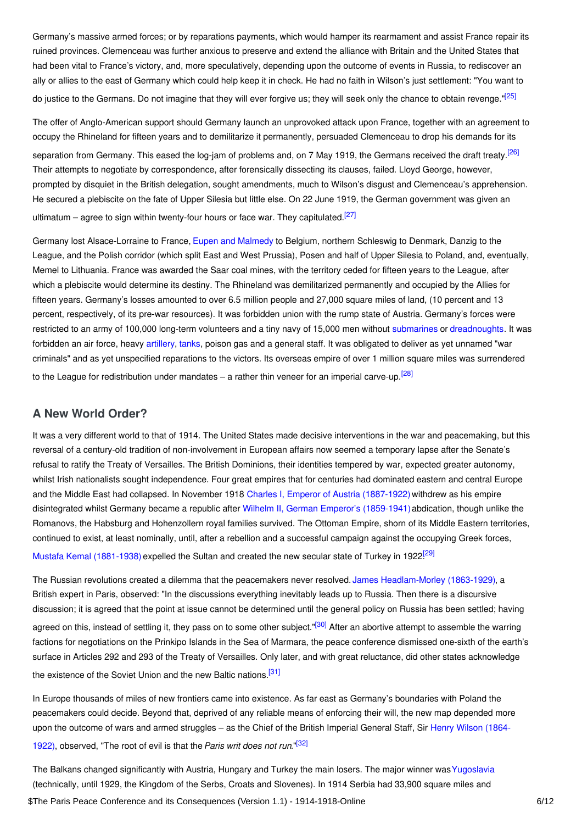Germany's massive armed forces; or by reparations payments, which would hamper its rearmament and assist France repair its ruined provinces. Clemenceau was further anxious to preserve and extend the alliance with Britain and the United States that had been vital to France's victory, and, more speculatively, depending upon the outcome of events in Russia, to rediscover an ally or allies to the east of Germany which could help keep it in check. He had no faith in Wilson's just settlement: "You want to do justice to the Germans. Do not imagine that they will ever forgive us; they will seek only the chance to obtain revenge."<sup>[\[25\]](#page-9-25)</sup>

<span id="page-5-2"></span><span id="page-5-1"></span>The offer of Anglo-American support should Germany launch an unprovoked attack upon France, together with an agreement to occupy the Rhineland for fifteen years and to demilitarize it permanently, persuaded Clemenceau to drop his demands for its separation from Germany. This eased the log-jam of problems and, on 7 May 1919, the Germans received the draft treaty.<sup>[\[26\]](#page-9-26)</sup> Their attempts to negotiate by correspondence, after forensically dissecting its clauses, failed. Lloyd George, however, prompted by disquiet in the British delegation, sought amendments, much to Wilson's disgust and Clemenceau's apprehension. He secured a plebiscite on the fate of Upper Silesia but little else. On 22 June 1919, the German government was given an ultimatum – agree to sign within twenty-four hours or face war. They capitulated.<sup>[\[27\]](#page-10-0)</sup>

<span id="page-5-3"></span>Germany lost Alsace-Lorraine to France, Eupen and [Malmedy](http://ui:CeDiS1418@encyclopedia.1914-1918-online.net/article/eupen-malmedy) to Belgium, northern Schleswig to Denmark, Danzig to the League, and the Polish corridor (which split East and West Prussia), Posen and half of Upper Silesia to Poland, and, eventually, Memel to Lithuania. France was awarded the Saar coal mines, with the territory ceded for fifteen years to the League, after which a plebiscite would determine its destiny. The Rhineland was demilitarized permanently and occupied by the Allies for fifteen years. Germany's losses amounted to over 6.5 million people and 27,000 square miles of land, (10 percent and 13 percent, respectively, of its pre-war resources). It was forbidden union with the rump state of Austria. Germany's forces were restricted to an army of 100,000 long-term volunteers and a tiny navy of 15,000 men without [submarines](http://ui:CeDiS1418@encyclopedia.1914-1918-online.net/article/submarines_and_submarine_warfare) or [dreadnoughts](http://ui:CeDiS1418@encyclopedia.1914-1918-online.net/article/dreadnought_hms). It was forbidden an air force, heavy [artillery](http://ui:CeDiS1418@encyclopedia.1914-1918-online.net/article/artillery), [tanks](http://ui:CeDiS1418@encyclopedia.1914-1918-online.net/article/tanks_and_tank_warfare), poison gas and a general staff. It was obligated to deliver as yet unnamed "war criminals" and as yet unspecified reparations to the victors. Its overseas empire of over 1 million square miles was surrendered to the League for redistribution under mandates – a rather thin veneer for an imperial carve-up.<sup>[\[28\]](#page-10-1)</sup>

## <span id="page-5-4"></span><span id="page-5-0"></span>**A New World Order?**

It was a very different world to that of 1914. The United States made decisive interventions in the war and peacemaking, but this reversal of a century-old tradition of non-involvement in European affairs now seemed a temporary lapse after the Senate's refusal to ratify the Treaty of Versailles. The British Dominions, their identities tempered by war, expected greater autonomy, whilst Irish nationalists sought independence. Four great empires that for centuries had dominated eastern and central Europe and the Middle East had collapsed. In November 1918 Charles I, Emperor of Austria [\(1887-1922\)](http://ui:CeDiS1418@encyclopedia.1914-1918-online.net/index/names/118560077) withdrew as his empire disintegrated whilst Germany became a republic after Wilhelm II, German Emperor's [\(1859-1941\)](http://ui:CeDiS1418@encyclopedia.1914-1918-online.net/index/names/118632892)abdication, though unlike the Romanovs, the Habsburg and Hohenzollern royal families survived. The Ottoman Empire, shorn of its Middle Eastern territories, continued to exist, at least nominally, until, after a rebellion and a successful campaign against the occupying Greek forces, Mustafa Kemal [\(1881-1938\)](http://ui:CeDiS1418@encyclopedia.1914-1918-online.net/index/names/118650793) expelled the Sultan and created the new secular state of Turkey in 1922<sup>[\[29\]](#page-10-2)</sup>

<span id="page-5-6"></span><span id="page-5-5"></span>The Russian revolutions created a dilemma that the peacemakers never resolved. James [Headlam-Morley](http://ui:CeDiS1418@encyclopedia.1914-1918-online.net/index/names/116554398) (1863-1929), a British expert in Paris, observed: "In the discussions everything inevitably leads up to Russia. Then there is a discursive discussion; it is agreed that the point at issue cannot be determined until the general policy on Russia has been settled; having agreed on this, instead of settling it, they pass on to some other subject."<sup>[\[30\]](#page-10-3)</sup> After an abortive attempt to assemble the warring factions for negotiations on the Prinkipo Islands in the Sea of Marmara, the peace conference dismissed one-sixth of the earth's surface in Articles 292 and 293 of the Treaty of Versailles. Only later, and with great reluctance, did other states acknowledge the existence of the Soviet Union and the new Baltic nations.<sup>[\[31\]](#page-10-4)</sup>

<span id="page-5-8"></span><span id="page-5-7"></span>In Europe thousands of miles of new frontiers came into existence. As far east as Germany's boundaries with Poland the peacemakers could decide. Beyond that, deprived of any reliable means of enforcing their will, the new map depended more upon the outcome of wars and armed struggles – as the Chief of the British Imperial General Staff, Sir Henry Wilson (1864-1922), [observed,](http://ui:CeDiS1418@encyclopedia.1914-1918-online.net/index/names/131792652) "The root of evil is that the*Paris writ does not run*." [\[32\]](#page-10-5)

The Balkans changed significantly with Austria, Hungary and Turkey the main losers. The major winner was [Yugoslavia](http://ui:CeDiS1418@encyclopedia.1914-1918-online.net/article/yugoslavia) (technically, until 1929, the Kingdom of the Serbs, Croats and Slovenes). In 1914 Serbia had 33,900 square miles and \$The Paris Peace Conference and its Consequences (Version 1.1) - 1914-1918-Online 6/12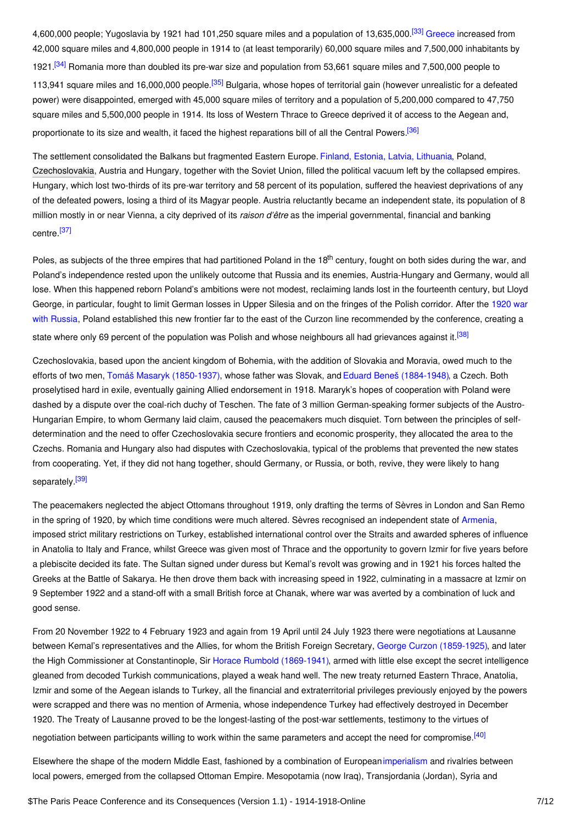<span id="page-6-0"></span>4,600,000 people; Yugoslavia by 1921 had 101,250 square miles and a population of 13,635,000.<sup>[\[33\]](#page-10-6)</sup> [Greece](http://ui:CeDiS1418@encyclopedia.1914-1918-online.net/article/greece) increased from 42,000 square miles and 4,800,000 people in 1914 to (at least temporarily) 60,000 square miles and 7,500,000 inhabitants by

<span id="page-6-2"></span><span id="page-6-1"></span>1921.<sup>[\[34\]](#page-10-7)</sup> Romania more than doubled its pre-war size and population from 53,661 square miles and 7,500,000 people to 113,941 square miles and 16,000,000 people.<sup>[\[35\]](#page-10-8)</sup> Bulgaria, whose hopes of territorial gain (however unrealistic for a defeated power) were disappointed, emerged with 45,000 square miles of territory and a population of 5,200,000 compared to 47,750 square miles and 5,500,000 people in 1914. Its loss of Western Thrace to Greece deprived it of access to the Aegean and, proportionate to its size and wealth, it faced the highest reparations bill of all the Central Powers.<sup>[\[36\]](#page-10-9)</sup>

<span id="page-6-3"></span>The settlement consolidated the Balkans but fragmented Eastern Europe. Finland, Estonia, Latvia, [Lithuania](http://ui:CeDiS1418@encyclopedia.1914-1918-online.net/article/baltic_states_and_finland), Poland, [Czechoslovakia](http://ui:CeDiS1418@encyclopedia.1914-1918-online.net/article/czechoslovakia), Austria and Hungary, together with the Soviet Union, filled the political vacuum left by the collapsed empires. Hungary, which lost two-thirds of its pre-war territory and 58 percent of its population, suffered the heaviest deprivations of any of the defeated powers, losing a third of its Magyar people. Austria reluctantly became an independent state, its population of 8 million mostly in or near Vienna, a city deprived of its *raison d'être* as the imperial governmental, financial and banking centre.<sup>[\[37\]](#page-10-10)</sup>

<span id="page-6-4"></span>Poles, as subjects of the three empires that had partitioned Poland in the 18<sup>th</sup> century, fought on both sides during the war, and Poland's independence rested upon the unlikely outcome that Russia and its enemies, Austria-Hungary and Germany, would all lose. When this happened reborn Poland's ambitions were not modest, reclaiming lands lost in the fourteenth century, but Lloyd George, in particular, fought to limit German losses in Upper Silesia and on the fringes of the Polish corridor. After the 1920 war with Russia, Poland established this new frontier far to the east of the Curzon line [recommended](http://ui:CeDiS1418@encyclopedia.1914-1918-online.net/article/polish-soviet_war_1920-1921) by the conference, creating a state where only 69 percent of the population was Polish and whose neighbours all had grievances against it.<sup>[\[38\]](#page-10-11)</sup>

<span id="page-6-5"></span>Czechoslovakia, based upon the ancient kingdom of Bohemia, with the addition of Slovakia and Moravia, owed much to the efforts of two men, Tomáš Masaryk [\(1850-1937\)](http://ui:CeDiS1418@encyclopedia.1914-1918-online.net/index/names/118578626), whose father was Slovak, and Eduard Beneš [\(1884-1948\)](http://ui:CeDiS1418@encyclopedia.1914-1918-online.net/index/names/118655450), a Czech. Both proselytised hard in exile, eventually gaining Allied endorsement in 1918. Mararyk's hopes of cooperation with Poland were dashed by a dispute over the coal-rich duchy of Teschen. The fate of 3 million German-speaking former subjects of the Austro-Hungarian Empire, to whom Germany laid claim, caused the peacemakers much disquiet. Torn between the principles of selfdetermination and the need to offer Czechoslovakia secure frontiers and economic prosperity, they allocated the area to the Czechs. Romania and Hungary also had disputes with Czechoslovakia, typical of the problems that prevented the new states from cooperating. Yet, if they did not hang together, should Germany, or Russia, or both, revive, they were likely to hang separately.<sup>[\[39\]](#page-10-12)</sup>

<span id="page-6-6"></span>The peacemakers neglected the abject Ottomans throughout 1919, only drafting the terms of Sèvres in London and San Remo in the spring of 1920, by which time conditions were much altered. Sèvres recognised an independent state of [Armenia](http://ui:CeDiS1418@encyclopedia.1914-1918-online.net/article/armenia), imposed strict military restrictions on Turkey, established international control over the Straits and awarded spheres of influence in Anatolia to Italy and France, whilst Greece was given most of Thrace and the opportunity to govern Izmir for five years before a plebiscite decided its fate. The Sultan signed under duress but Kemal's revolt was growing and in 1921 his forces halted the Greeks at the Battle of Sakarya. He then drove them back with increasing speed in 1922, culminating in a massacre at Izmir on 9 September 1922 and a stand-off with a small British force at Chanak, where war was averted by a combination of luck and good sense.

From 20 November 1922 to 4 February 1923 and again from 19 April until 24 July 1923 there were negotiations at Lausanne between Kemal's representatives and the Allies, for whom the British Foreign Secretary, George Curzon [\(1859-1925\)](http://ui:CeDiS1418@encyclopedia.1914-1918-online.net/index/names/119091364), and later the High Commissioner at Constantinople, Sir Horace Rumbold [\(1869-1941\)](http://ui:CeDiS1418@encyclopedia.1914-1918-online.net/index/names/119440296), armed with little else except the secret intelligence gleaned from decoded Turkish communications, played a weak hand well. The new treaty returned Eastern Thrace, Anatolia, Izmir and some of the Aegean islands to Turkey, all the financial and extraterritorial privileges previously enjoyed by the powers were scrapped and there was no mention of Armenia, whose independence Turkey had effectively destroyed in December 1920. The Treaty of Lausanne proved to be the longest-lasting of the post-war settlements, testimony to the virtues of negotiation between participants willing to work within the same parameters and accept the need for compromise.<sup>[\[40\]](#page-10-13)</sup>

<span id="page-6-7"></span>Elsewhere the shape of the modern Middle East, fashioned by a combination of European[imperialism](http://ui:CeDiS1418@encyclopedia.1914-1918-online.net/article/imperialism) and rivalries between local powers, emerged from the collapsed Ottoman Empire. Mesopotamia (now Iraq), Transjordania (Jordan), Syria and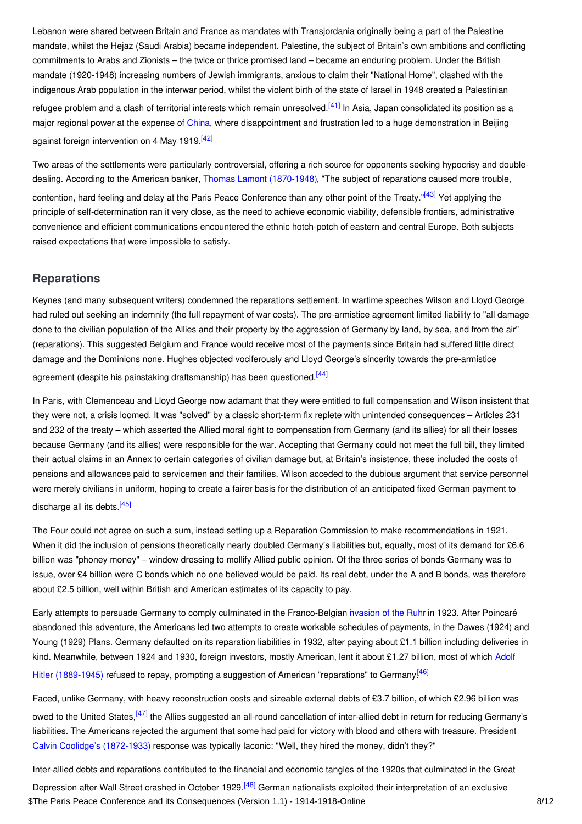Lebanon were shared between Britain and France as mandates with Transjordania originally being a part of the Palestine mandate, whilst the Hejaz (Saudi Arabia) became independent. Palestine, the subject of Britain's own ambitions and conflicting commitments to Arabs and Zionists – the twice or thrice promised land – became an enduring problem. Under the British mandate (1920-1948) increasing numbers of Jewish immigrants, anxious to claim their "National Home", clashed with the indigenous Arab population in the interwar period, whilst the violent birth of the state of Israel in 1948 created a Palestinian refugee problem and a clash of territorial interests which remain unresolved.<sup>[\[41\]](#page-10-14)</sup> In Asia, Japan consolidated its position as a major regional power at the expense of [China](http://ui:CeDiS1418@encyclopedia.1914-1918-online.net/article/china), where disappointment and frustration led to a huge demonstration in Beijing against foreign intervention on 4 May 1919.<sup>[\[42\]](#page-10-15)</sup>

<span id="page-7-3"></span><span id="page-7-2"></span><span id="page-7-1"></span>Two areas of the settlements were particularly controversial, offering a rich source for opponents seeking hypocrisy and doubledealing. According to the American banker, Thomas Lamont [\(1870-1948\)](http://ui:CeDiS1418@encyclopedia.1914-1918-online.net/index/names/124479200), "The subject of reparations caused more trouble, contention, hard feeling and delay at the Paris Peace Conference than any other point of the Treaty."<sup>[\[43\]](#page-10-16)</sup> Yet applying the principle of self-determination ran it very close, as the need to achieve economic viability, defensible frontiers, administrative convenience and efficient communications encountered the ethnic hotch-potch of eastern and central Europe. Both subjects raised expectations that were impossible to satisfy.

## <span id="page-7-0"></span>**Reparations**

Keynes (and many subsequent writers) condemned the reparations settlement. In wartime speeches Wilson and Lloyd George had ruled out seeking an indemnity (the full repayment of war costs). The pre-armistice agreement limited liability to "all damage done to the civilian population of the Allies and their property by the aggression of Germany by land, by sea, and from the air" (reparations). This suggested Belgium and France would receive most of the payments since Britain had suffered little direct damage and the Dominions none. Hughes objected vociferously and Lloyd George's sincerity towards the pre-armistice

<span id="page-7-4"></span>agreement (despite his painstaking draftsmanship) has been questioned.<sup>[\[44\]](#page-10-17)</sup>

In Paris, with Clemenceau and Lloyd George now adamant that they were entitled to full compensation and Wilson insistent that they were not, a crisis loomed. It was "solved" by a classic short-term fix replete with unintended consequences – Articles 231 and 232 of the treaty – which asserted the Allied moral right to compensation from Germany (and its allies) for all their losses because Germany (and its allies) were responsible for the war. Accepting that Germany could not meet the full bill, they limited their actual claims in an Annex to certain categories of civilian damage but, at Britain's insistence, these included the costs of pensions and allowances paid to servicemen and their families. Wilson acceded to the dubious argument that service personnel were merely civilians in uniform, hoping to create a fairer basis for the distribution of an anticipated fixed German payment to discharge all its debts.<sup>[\[45\]](#page-10-18)</sup>

<span id="page-7-5"></span>The Four could not agree on such a sum, instead setting up a Reparation Commission to make recommendations in 1921. When it did the inclusion of pensions theoretically nearly doubled Germany's liabilities but, equally, most of its demand for £6.6 billion was "phoney money" – window dressing to mollify Allied public opinion. Of the three series of bonds Germany was to issue, over £4 billion were C bonds which no one believed would be paid. Its real debt, under the A and B bonds, was therefore about £2.5 billion, well within British and American estimates of its capacity to pay.

Early attempts to persuade Germany to comply culminated in the Franco-Belgian in[vasion](http://ui:CeDiS1418@encyclopedia.1914-1918-online.net/article/ruhr_occupation) of the Ruhr in 1923. After Poincaré abandoned this adventure, the Americans led two attempts to create workable schedules of payments, in the Dawes (1924) and Young (1929) Plans. Germany defaulted on its reparation liabilities in 1932, after paying about £1.1 billion including deliveries in kind. Meanwhile, between 1924 and 1930, foreign investors, mostly American, lent it about £1.27 billion, most of which Adolf Hitler (1889-1945) refused to repay, prompting a suggestion of American ["reparations"](http://ui:CeDiS1418@encyclopedia.1914-1918-online.net/index/names/118551655) to Germany.<sup>[\[46\]](#page-10-19)</sup>

<span id="page-7-7"></span><span id="page-7-6"></span>Faced, unlike Germany, with heavy reconstruction costs and sizeable external debts of £3.7 billion, of which £2.96 billion was owed to the United States,<sup>[\[47\]](#page-10-20)</sup> the Allies suggested an all-round cancellation of inter-allied debt in return for reducing Germany's liabilities. The Americans rejected the argument that some had paid for victory with blood and others with treasure. President Calvin Coolidge's [\(1872-1933\)](http://ui:CeDiS1418@encyclopedia.1914-1918-online.net/index/names/118669974) response was typically laconic: "Well, they hired the money, didn't they?"

<span id="page-7-8"></span>Inter-allied debts and reparations contributed to the financial and economic tangles of the 1920s that culminated in the Great

Depression after Wall Street crashed in October 1929.<sup>[\[48\]](#page-10-21)</sup> German nationalists exploited their interpretation of an exclusive \$The Paris Peace Conference and its Consequences (Version 1.1) - 1914-1918-Online 8/12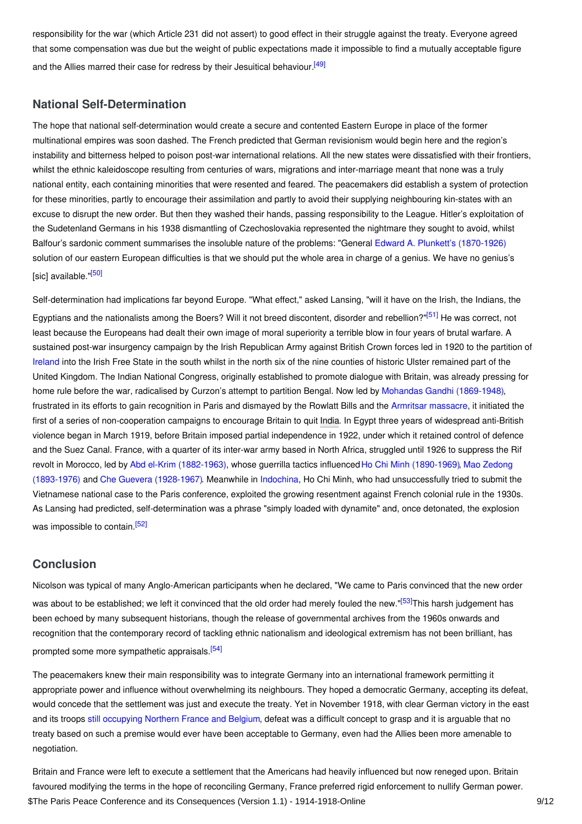<span id="page-8-2"></span>responsibility for the war (which Article 231 did not assert) to good effect in their struggle against the treaty. Everyone agreed that some compensation was due but the weight of public expectations made it impossible to find a mutually acceptable figure and the Allies marred their case for redress by their Jesuitical behaviour.<sup>[\[49\]](#page-10-22)</sup>

## <span id="page-8-0"></span>**National Self-Determination**

The hope that national self-determination would create a secure and contented Eastern Europe in place of the former multinational empires was soon dashed. The French predicted that German revisionism would begin here and the region's instability and bitterness helped to poison post-war international relations. All the new states were dissatisfied with their frontiers, whilst the ethnic kaleidoscope resulting from centuries of wars, migrations and inter-marriage meant that none was a truly national entity, each containing minorities that were resented and feared. The peacemakers did establish a system of protection for these minorities, partly to encourage their assimilation and partly to avoid their supplying neighbouring kin-states with an excuse to disrupt the new order. But then they washed their hands, passing responsibility to the League. Hitler's exploitation of the Sudetenland Germans in his 1938 dismantling of Czechoslovakia represented the nightmare they sought to avoid, whilst Balfour's sardonic comment summarises the insoluble nature of the problems: "General Edward A. Plunkett's [\(1870-1926\)](http://ui:CeDiS1418@encyclopedia.1914-1918-online.net/index/names/1053669526) solution of our eastern European difficulties is that we should put the whole area in charge of a genius. We have no genius's [sic] available. <sup>[\[50\]](#page-10-23)</sup>

<span id="page-8-4"></span><span id="page-8-3"></span>Self-determination had implications far beyond Europe. "What effect," asked Lansing, "will it have on the Irish, the Indians, the Egyptians and the nationalists among the Boers? Will it not breed discontent, disorder and rebellion?"<sup>[\[51\]](#page-10-24)</sup> He was correct, not least because the Europeans had dealt their own image of moral superiority a terrible blow in four years of brutal warfare. A sustained post-war insurgency campaign by the Irish Republican Army against British Crown forces led in 1920 to the partition of [Ireland](http://ui:CeDiS1418@encyclopedia.1914-1918-online.net/article/ireland) into the Irish Free State in the south whilst in the north six of the nine counties of historic Ulster remained part of the United Kingdom. The Indian National Congress, originally established to promote dialogue with Britain, was already pressing for home rule before the war, radicalised by Curzon's attempt to partition Bengal. Now led by Mohandas Gandhi [\(1869-1948\)](http://ui:CeDiS1418@encyclopedia.1914-1918-online.net/index/names/118639145), frustrated in its efforts to gain recognition in Paris and dismayed by the Rowlatt Bills and the Armritsar [massacre](http://ui:CeDiS1418@encyclopedia.1914-1918-online.net/article/amritsar_massacre_of), it initiated the first of a series of non-cooperation campaigns to encourage Britain to quit [India](http://ui:CeDiS1418@encyclopedia.1914-1918-online.net/article/british_india). In Egypt three years of widespread anti-British violence began in March 1919, before Britain imposed partial independence in 1922, under which it retained control of defence and the Suez Canal. France, with a quarter of its inter-war army based in North Africa, struggled until 1926 to suppress the Rif revolt in Morocco, led by Abd el-Krim [\(1882-1963\)](http://ui:CeDiS1418@encyclopedia.1914-1918-online.net/index/names/11864646X), whose guerrilla tactics influencedHo Chi Minh [\(1890-1969\)](http://ui:CeDiS1418@encyclopedia.1914-1918-online.net/index/names/11855168X), Mao Zedong (1893-1976) and Che Guevera [\(1928-1967\)](http://ui:CeDiS1418@encyclopedia.1914-1918-online.net/index/names/118543369). Meanwhile in [Indochina](http://ui:CeDiS1418@encyclopedia.1914-1918-online.net/article/indochina), Ho Chi Minh, who had [unsuccessfully](http://ui:CeDiS1418@encyclopedia.1914-1918-online.net/index/names/118577425) tried to submit the Vietnamese national case to the Paris conference, exploited the growing resentment against French colonial rule in the 1930s. As Lansing had predicted, self-determination was a phrase "simply loaded with dynamite" and, once detonated, the explosion was impossible to contain.<sup>[\[52\]](#page-10-25)</sup>

## <span id="page-8-5"></span><span id="page-8-1"></span>**Conclusion**

<span id="page-8-6"></span>Nicolson was typical of many Anglo-American participants when he declared, "We came to Paris convinced that the new order was about to be established; we left it convinced that the old order had merely fouled the new."<sup>[\[53\]](#page-10-26)</sup>This harsh judgement has been echoed by many subsequent historians, though the release of governmental archives from the 1960s onwards and recognition that the contemporary record of tackling ethnic nationalism and ideological extremism has not been brilliant, has prompted some more sympathetic appraisals. [\[54\]](#page-10-27)

<span id="page-8-7"></span>The peacemakers knew their main responsibility was to integrate Germany into an international framework permitting it appropriate power and influence without overwhelming its neighbours. They hoped a democratic Germany, accepting its defeat, would concede that the settlement was just and execute the treaty. Yet in November 1918, with clear German victory in the east and its troops still [occupying](http://ui:CeDiS1418@encyclopedia.1914-1918-online.net/article/occupation_after_the_war_belgium_and_france) Northern France and Belgium, defeat was a difficult concept to grasp and it is arguable that no treaty based on such a premise would ever have been acceptable to Germany, even had the Allies been more amenable to negotiation.

Britain and France were left to execute a settlement that the Americans had heavily influenced but now reneged upon. Britain favoured modifying the terms in the hope of reconciling Germany, France preferred rigid enforcement to nullify German power. \$The Paris Peace Conference and its Consequences (Version 1.1) - 1914-1918-Online 9/12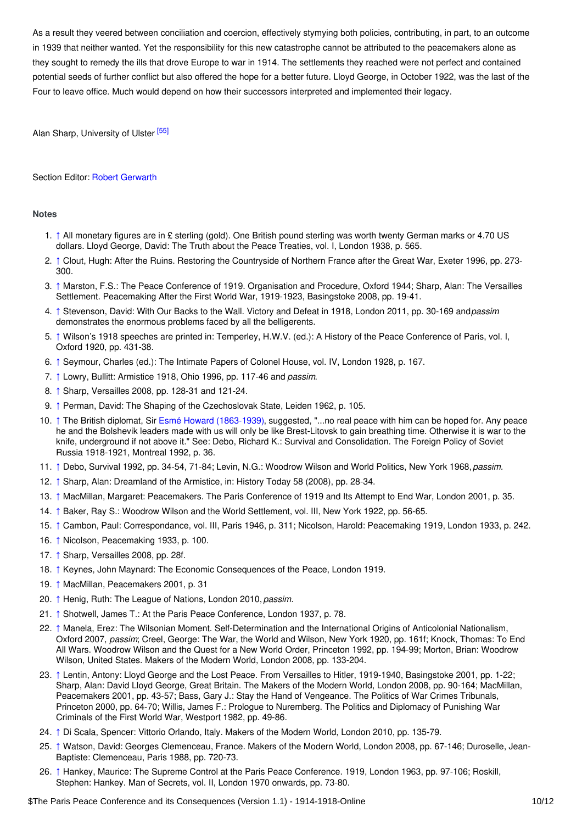As a result they veered between conciliation and coercion, effectively stymying both policies, contributing, in part, to an outcome in 1939 that neither wanted. Yet the responsibility for this new catastrophe cannot be attributed to the peacemakers alone as they sought to remedy the ills that drove Europe to war in 1914. The settlements they reached were not perfect and contained potential seeds of further conflict but also offered the hope for a better future. Lloyd George, in October 1922, was the last of the Four to leave office. Much would depend on how their successors interpreted and implemented their legacy.

<span id="page-9-27"></span>Alan Sharp, University of Ulster<sup>[\[55\]](#page-11-2)</sup>

#### Section Editor: Robert [Gerwarth](https://encyclopedia.1914-1918-online.net/contributors/Robert_Gerwarth)

#### <span id="page-9-0"></span>**Notes**

- <span id="page-9-1"></span>1. [↑](#page-0-1) All monetary figures are in £ sterling (gold). One British pound sterling was worth twenty German marks or 4.70 US dollars. Lloyd George, David: The Truth about the Peace Treaties, vol. I, London 1938, p. 565.
- <span id="page-9-2"></span>2. [↑](#page-0-2) Clout, Hugh: After the Ruins. Restoring the Countryside of Northern France after the Great War, Exeter 1996, pp. 273- 300.
- <span id="page-9-3"></span>3. [↑](#page-1-1) Marston, F.S.: The Peace Conference of 1919. Organisation and Procedure, Oxford 1944; Sharp, Alan: The Versailles Settlement. Peacemaking After the First World War, 1919-1923, Basingstoke 2008, pp. 19-41.
- <span id="page-9-4"></span>4. [↑](#page-1-2) Stevenson, David: With Our Backs to the Wall. Victory and Defeat in 1918, London 2011, pp. 30-169 and*passim* demonstrates the enormous problems faced by all the belligerents.
- <span id="page-9-5"></span>5. [↑](#page-1-3) Wilson's 1918 speeches are printed in: Temperley, H.W.V. (ed.): A History of the Peace Conference of Paris, vol. I, Oxford 1920, pp. 431-38.
- <span id="page-9-6"></span>6. [↑](#page-1-4) Seymour, Charles (ed.): The Intimate Papers of Colonel House, vol. IV, London 1928, p. 167.
- <span id="page-9-7"></span>7. [↑](#page-2-1) Lowry, Bullitt: Armistice 1918, Ohio 1996, pp. 117-46 and *passim*.
- <span id="page-9-8"></span>8. [↑](#page-2-2) Sharp, Versailles 2008, pp. 128-31 and 121-24.
- <span id="page-9-9"></span>9. [↑](#page-2-3) Perman, David: The Shaping of the Czechoslovak State, Leiden 1962, p. 105.
- <span id="page-9-10"></span>10. [↑](#page-2-4) The British diplomat, Sir Esmé Howard [\(1863-1939\)](http://ui:CeDiS1418@encyclopedia.1914-1918-online.net/index/names/118900021), suggested, "...no real peace with him can be hoped for. Any peace he and the Bolshevik leaders made with us will only be like Brest-Litovsk to gain breathing time. Otherwise it is war to the knife, underground if not above it." See: Debo, Richard K.: Survival and Consolidation. The Foreign Policy of Soviet Russia 1918-1921, Montreal 1992, p. 36.
- <span id="page-9-11"></span>11. [↑](#page-2-5) Debo, Survival 1992, pp. 34-54, 71-84; Levin, N.G.: Woodrow Wilson and World Politics, New York 1968,*passim.*
- <span id="page-9-12"></span>12. [↑](#page-2-6) Sharp, Alan: Dreamland of the Armistice, in: History Today 58 (2008), pp. 28-34.
- <span id="page-9-13"></span>13. [↑](#page-3-0) MacMillan, Margaret: Peacemakers. The Paris Conference of 1919 and Its Attempt to End War, London 2001, p. 35.
- <span id="page-9-14"></span>14. [↑](#page-3-1) Baker, Ray S.: Woodrow Wilson and the World Settlement, vol. III, New York 1922, pp. 56-65.
- <span id="page-9-15"></span>15. [↑](#page-3-2) Cambon, Paul: Correspondance, vol. III, Paris 1946, p. 311; Nicolson, Harold: Peacemaking 1919, London 1933, p. 242.
- <span id="page-9-16"></span>16. [↑](#page-3-3) Nicolson, Peacemaking 1933, p. 100.
- <span id="page-9-17"></span>17. [↑](#page-3-4) Sharp, Versailles 2008, pp. 28f.
- <span id="page-9-18"></span>18. [↑](#page-4-0) Keynes, John Maynard: The Economic Consequences of the Peace, London 1919.
- <span id="page-9-19"></span>19. [↑](#page-4-1) MacMillan, Peacemakers 2001, p. 31
- <span id="page-9-20"></span>20. [↑](#page-4-2) Henig, Ruth: The League of Nations, London 2010, *passim.*
- <span id="page-9-21"></span>21. [↑](#page-4-3) Shotwell, James T.: At the Paris Peace Conference, London 1937, p. 78.
- <span id="page-9-22"></span>22. [↑](#page-4-4) Manela, Erez: The Wilsonian Moment. Self-Determination and the International Origins of Anticolonial Nationalism, Oxford 2007, *passim*; Creel, George: The War, the World and Wilson, New York 1920, pp. 161f; Knock, Thomas: To End All Wars. Woodrow Wilson and the Quest for a New World Order, Princeton 1992, pp. 194-99; Morton, Brian: Woodrow Wilson, United States. Makers of the Modern World, London 2008, pp. 133-204.
- <span id="page-9-23"></span>23. [↑](#page-4-5) Lentin, Antony: Lloyd George and the Lost Peace. From Versailles to Hitler, 1919-1940, Basingstoke 2001, pp. 1-22; Sharp, Alan: David Lloyd George, Great Britain. The Makers of the Modern World, London 2008, pp. 90-164; MacMillan, Peacemakers 2001, pp. 43-57; Bass, Gary J.: Stay the Hand of Vengeance. The Politics of War Crimes Tribunals, Princeton 2000, pp. 64-70; Willis, James F.: Prologue to Nuremberg. The Politics and Diplomacy of Punishing War Criminals of the First World War, Westport 1982, pp. 49-86.
- <span id="page-9-24"></span>24. [↑](#page-4-6) Di Scala, Spencer: Vittorio Orlando, Italy. Makers of the Modern World, London 2010, pp. 135-79.
- <span id="page-9-25"></span>25. [↑](#page-5-1) Watson, David: Georges Clemenceau, France. Makers of the Modern World, London 2008, pp. 67-146; Duroselle, Jean-Baptiste: Clemenceau, Paris 1988, pp. 720-73.
- <span id="page-9-26"></span>26. [↑](#page-5-2) Hankey, Maurice: The Supreme Control at the Paris Peace Conference. 1919, London 1963, pp. 97-106; Roskill, Stephen: Hankey. Man of Secrets, vol. II, London 1970 onwards, pp. 73-80.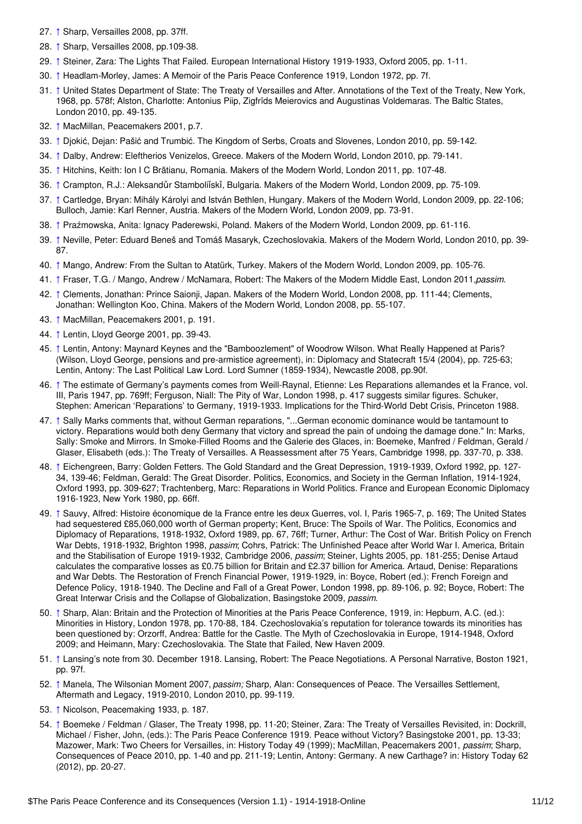- <span id="page-10-0"></span>27. [↑](#page-5-3) Sharp, Versailles 2008, pp. 37ff.
- <span id="page-10-1"></span>28. [↑](#page-5-4) Sharp, Versailles 2008, pp.109-38.
- <span id="page-10-2"></span>29. [↑](#page-5-5) Steiner, Zara: The Lights That Failed. European International History 1919-1933, Oxford 2005, pp. 1-11.
- <span id="page-10-3"></span>30. [↑](#page-5-6) Headlam-Morley, James: A Memoir of the Paris Peace Conference 1919, London 1972, pp. 7f.
- <span id="page-10-4"></span>31. [↑](#page-5-7) United States Department of State: The Treaty of Versailles and After. Annotations of the Text of the Treaty, New York, 1968, pp. 578f; Alston, Charlotte: Antonius Piip, Zigfrīds Meierovics and Augustinas Voldemaras. The Baltic States, London 2010, pp. 49-135.
- <span id="page-10-5"></span>32. [↑](#page-5-8) MacMillan, Peacemakers 2001, p.7.
- <span id="page-10-6"></span>33. [↑](#page-6-0) Djokić, Dejan: Pašić and Trumbić. The Kingdom of Serbs, Croats and Slovenes, London 2010, pp. 59-142.
- <span id="page-10-7"></span>34. [↑](#page-6-1) Dalby, Andrew: Eleftherios Venizelos, Greece. Makers of the Modern World, London 2010, pp. 79-141.
- <span id="page-10-8"></span>35. [↑](#page-6-2) Hitchins, Keith: Ion I C Brătianu, Romania. Makers of the Modern World, London 2011, pp. 107-48.
- <span id="page-10-9"></span>36. [↑](#page-6-3) Crampton, R.J.: Aleksandǔr Stamboliǐskǐ, Bulgaria. Makers of the Modern World, London 2009, pp. 75-109.
- <span id="page-10-10"></span>37. [↑](#page-6-4) Cartledge, Bryan: Mihály Károlyi and István Bethlen, Hungary. Makers of the Modern World, London 2009, pp. 22-106; Bulloch, Jamie: Karl Renner, Austria. Makers of the Modern World, London 2009, pp. 73-91.
- <span id="page-10-11"></span>38. [↑](#page-6-5) Praźmowska, Anita: Ignacy Paderewski, Poland. Makers of the Modern World, London 2009, pp. 61-116.
- <span id="page-10-12"></span>39. [↑](#page-6-6) Neville, Peter: Eduard Beneš and Tomáš Masaryk, Czechoslovakia. Makers of the Modern World, London 2010, pp. 39- 87.
- <span id="page-10-13"></span>40. [↑](#page-6-7) Mango, Andrew: From the Sultan to Atatürk, Turkey. Makers of the Modern World, London 2009, pp. 105-76.
- <span id="page-10-14"></span>41. [↑](#page-7-1) Fraser, T.G. / Mango, Andrew / McNamara, Robert: The Makers of the Modern Middle East, London 2011,*passim*.
- <span id="page-10-15"></span>42. [↑](#page-7-2) Clements, Jonathan: Prince Saionji, Japan. Makers of the Modern World, London 2008, pp. 111-44; Clements, Jonathan: Wellington Koo, China. Makers of the Modern World, London 2008, pp. 55-107.
- <span id="page-10-16"></span>43. [↑](#page-7-3) MacMillan, Peacemakers 2001, p. 191.
- <span id="page-10-17"></span>44. [↑](#page-7-4) Lentin, Lloyd George 2001, pp. 39-43.
- <span id="page-10-18"></span>45. [↑](#page-7-5) Lentin, Antony: Maynard Keynes and the "Bamboozlement" of Woodrow Wilson. What Really Happened at Paris? (Wilson, Lloyd George, pensions and pre-armistice agreement), in: Diplomacy and Statecraft 15/4 (2004), pp. 725-63; Lentin, Antony: The Last Political Law Lord. Lord Sumner (1859-1934), Newcastle 2008, pp.90f.
- <span id="page-10-19"></span>46. [↑](#page-7-6) The estimate of Germany's payments comes from Weill-Raynal, Etienne: Les Reparations allemandes et la France, vol. III, Paris 1947, pp. 769ff; Ferguson, Niall: The Pity of War, London 1998, p. 417 suggests similar figures. Schuker, Stephen: American 'Reparations' to Germany, 1919-1933. Implications for the Third-World Debt Crisis, Princeton 1988.
- <span id="page-10-20"></span>47. [↑](#page-7-7) Sally Marks comments that, without German reparations, "...German economic dominance would be tantamount to victory. Reparations would both deny Germany that victory and spread the pain of undoing the damage done." In: Marks, Sally: Smoke and Mirrors. In Smoke-Filled Rooms and the Galerie des Glaces, in: Boemeke, Manfred / Feldman, Gerald / Glaser, Elisabeth (eds.): The Treaty of Versailles. A Reassessment after 75 Years, Cambridge 1998, pp. 337-70, p. 338.
- <span id="page-10-21"></span>48. [↑](#page-7-8) Eichengreen, Barry: Golden Fetters. The Gold Standard and the Great Depression, 1919-1939, Oxford 1992, pp. 127- 34, 139-46; Feldman, Gerald: The Great Disorder. Politics, Economics, and Society in the German Inflation, 1914-1924, Oxford 1993, pp. 309-627; Trachtenberg, Marc: Reparations in World Politics. France and European Economic Diplomacy 1916-1923, New York 1980, pp. 66ff.
- <span id="page-10-22"></span>49. [↑](#page-8-2) Sauvy, Alfred: Histoire économique de la France entre les deux Guerres, vol. I, Paris 1965-7, p. 169; The United States had sequestered £85,060,000 worth of German property; Kent, Bruce: The Spoils of War. The Politics, Economics and Diplomacy of Reparations, 1918-1932, Oxford 1989, pp. 67, 76ff; Turner, Arthur: The Cost of War. British Policy on French War Debts, 1918-1932, Brighton 1998, *passim*; Cohrs, Patrick: The Unfinished Peace after World War I. America, Britain and the Stabilisation of Europe 1919-1932, Cambridge 2006, *passim*; Steiner, Lights 2005, pp. 181-255; Denise Artaud calculates the comparative losses as £0.75 billion for Britain and £2.37 billion for America. Artaud, Denise: Reparations and War Debts. The Restoration of French Financial Power, 1919-1929, in: Boyce, Robert (ed.): French Foreign and Defence Policy, 1918-1940. The Decline and Fall of a Great Power, London 1998, pp. 89-106, p. 92; Boyce, Robert: The Great Interwar Crisis and the Collapse of Globalization, Basingstoke 2009, *passim*.
- <span id="page-10-23"></span>50. [↑](#page-8-3) Sharp, Alan: Britain and the Protection of Minorities at the Paris Peace Conference, 1919, in: Hepburn, A.C. (ed.): Minorities in History, London 1978, pp. 170-88, 184. Czechoslovakia's reputation for tolerance towards its minorities has been questioned by: Orzorff, Andrea: Battle for the Castle. The Myth of Czechoslovakia in Europe, 1914-1948, Oxford 2009; and Heimann, Mary: Czechoslovakia. The State that Failed, New Haven 2009.
- <span id="page-10-24"></span>51. [↑](#page-8-4) Lansing's note from 30. December 1918. Lansing, Robert: The Peace Negotiations. A Personal Narrative, Boston 1921, pp. 97f.
- <span id="page-10-25"></span>52. [↑](#page-8-5) Manela, The Wilsonian Moment 2007, *passim;* Sharp, Alan: Consequences of Peace. The Versailles Settlement, Aftermath and Legacy, 1919-2010, London 2010, pp. 99-119.
- <span id="page-10-26"></span>53. [↑](#page-8-6) Nicolson, Peacemaking 1933, p. 187.
- <span id="page-10-27"></span>54. [↑](#page-8-7) Boemeke / Feldman / Glaser, The Treaty 1998, pp. 11-20; Steiner, Zara: The Treaty of Versailles Revisited, in: Dockrill, Michael / Fisher, John, (eds.): The Paris Peace Conference 1919. Peace without Victory? Basingstoke 2001, pp. 13-33; Mazower, Mark: Two Cheers for Versailles, in: History Today 49 (1999); MacMillan, Peacemakers 2001, *passim*; Sharp, Consequences of Peace 2010, pp. 1-40 and pp. 211-19; Lentin, Antony: Germany. A new Carthage? in: History Today 62 (2012), pp. 20-27.